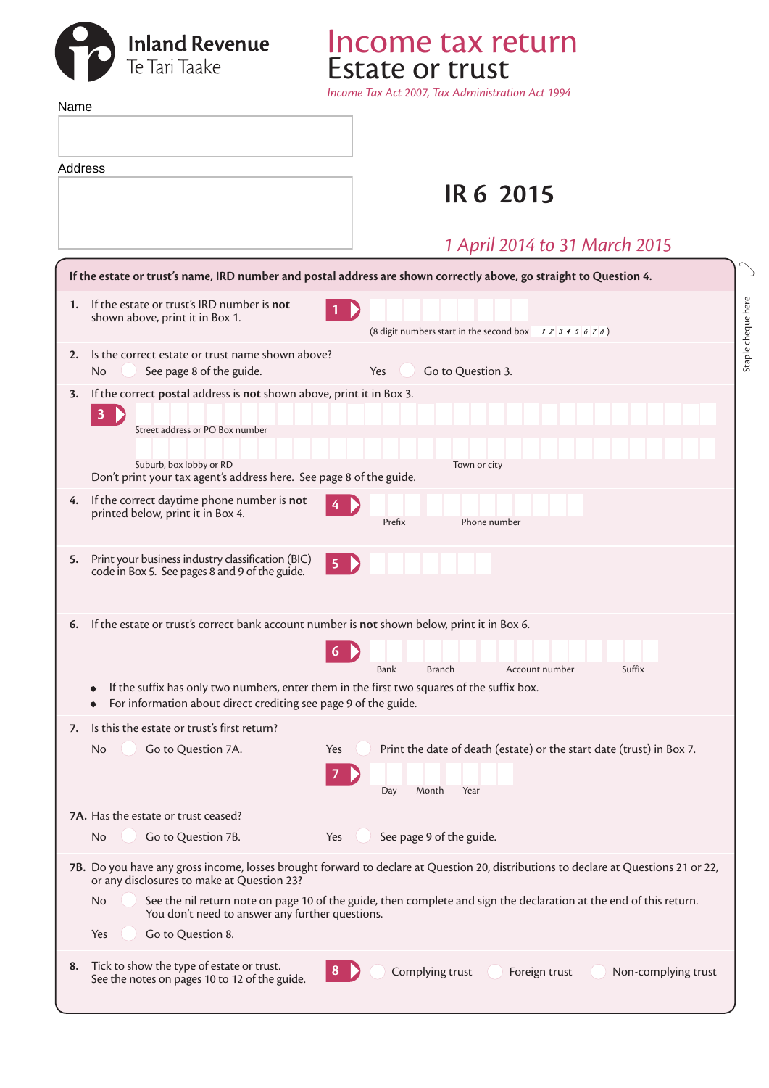

*Income Tax Act 2007, Tax Administration Act 1994*

 $\searrow$ 

Estate or trust

Income tax return

|    | Name                                                                                                                                                                                                                                                                                                                                                                                         |                     |  |  |  |  |  |
|----|----------------------------------------------------------------------------------------------------------------------------------------------------------------------------------------------------------------------------------------------------------------------------------------------------------------------------------------------------------------------------------------------|---------------------|--|--|--|--|--|
|    |                                                                                                                                                                                                                                                                                                                                                                                              |                     |  |  |  |  |  |
|    | Address                                                                                                                                                                                                                                                                                                                                                                                      |                     |  |  |  |  |  |
|    | <b>IR 6 2015</b>                                                                                                                                                                                                                                                                                                                                                                             |                     |  |  |  |  |  |
|    | 1 April 2014 to 31 March 2015                                                                                                                                                                                                                                                                                                                                                                |                     |  |  |  |  |  |
|    | If the estate or trust's name, IRD number and postal address are shown correctly above, go straight to Question 4.                                                                                                                                                                                                                                                                           |                     |  |  |  |  |  |
|    | If the estate or trust's IRD number is not<br>1.<br>shown above, print it in Box 1.<br>(8 digit numbers start in the second box $\begin{array}{c} 7 & 2 & 3 & 4 & 5 & 6 & 7 & 8 \end{array}$ )                                                                                                                                                                                               | Staple cheque here  |  |  |  |  |  |
| 2. | Is the correct estate or trust name shown above?<br>Go to Question 3.<br>See page 8 of the guide.<br>No.<br>Yes                                                                                                                                                                                                                                                                              |                     |  |  |  |  |  |
| 3. | If the correct postal address is not shown above, print it in Box 3.<br>$3 \triangleright$<br>Street address or PO Box number                                                                                                                                                                                                                                                                |                     |  |  |  |  |  |
|    | Suburb, box lobby or RD<br>Town or city<br>Don't print your tax agent's address here. See page 8 of the guide.                                                                                                                                                                                                                                                                               |                     |  |  |  |  |  |
| 4. | If the correct daytime phone number is not<br>printed below, print it in Box 4.<br>Phone number<br>Prefix                                                                                                                                                                                                                                                                                    |                     |  |  |  |  |  |
| 5. | Print your business industry classification (BIC)<br>$\overline{\mathbf{5}}$<br>code in Box 5. See pages 8 and 9 of the guide.                                                                                                                                                                                                                                                               |                     |  |  |  |  |  |
| 6. | If the estate or trust's correct bank account number is not shown below, print it in Box 6.<br>Account number<br>Bank<br><b>Branch</b>                                                                                                                                                                                                                                                       | Suffix              |  |  |  |  |  |
|    | If the suffix has only two numbers, enter them in the first two squares of the suffix box.<br>$\bullet$<br>For information about direct crediting see page 9 of the guide.                                                                                                                                                                                                                   |                     |  |  |  |  |  |
| 7. | Is this the estate or trust's first return?<br>Print the date of death (estate) or the start date (trust) in Box 7.<br>Go to Question 7A.<br>No<br>Yes<br>$\mathcal{I}$<br>Day<br>Month<br>Year                                                                                                                                                                                              |                     |  |  |  |  |  |
|    | 7A. Has the estate or trust ceased?<br>See page 9 of the guide.<br>Go to Question 7B.<br>Yes<br>No.                                                                                                                                                                                                                                                                                          |                     |  |  |  |  |  |
|    | 7B. Do you have any gross income, losses brought forward to declare at Question 20, distributions to declare at Questions 21 or 22,<br>or any disclosures to make at Question 23?<br>See the nil return note on page 10 of the guide, then complete and sign the declaration at the end of this return.<br>No<br>You don't need to answer any further questions.<br>Go to Question 8.<br>Yes |                     |  |  |  |  |  |
| 8. | Tick to show the type of estate or trust.<br>Complying trust<br>Foreign trust<br>8<br>See the notes on pages 10 to 12 of the guide.                                                                                                                                                                                                                                                          | Non-complying trust |  |  |  |  |  |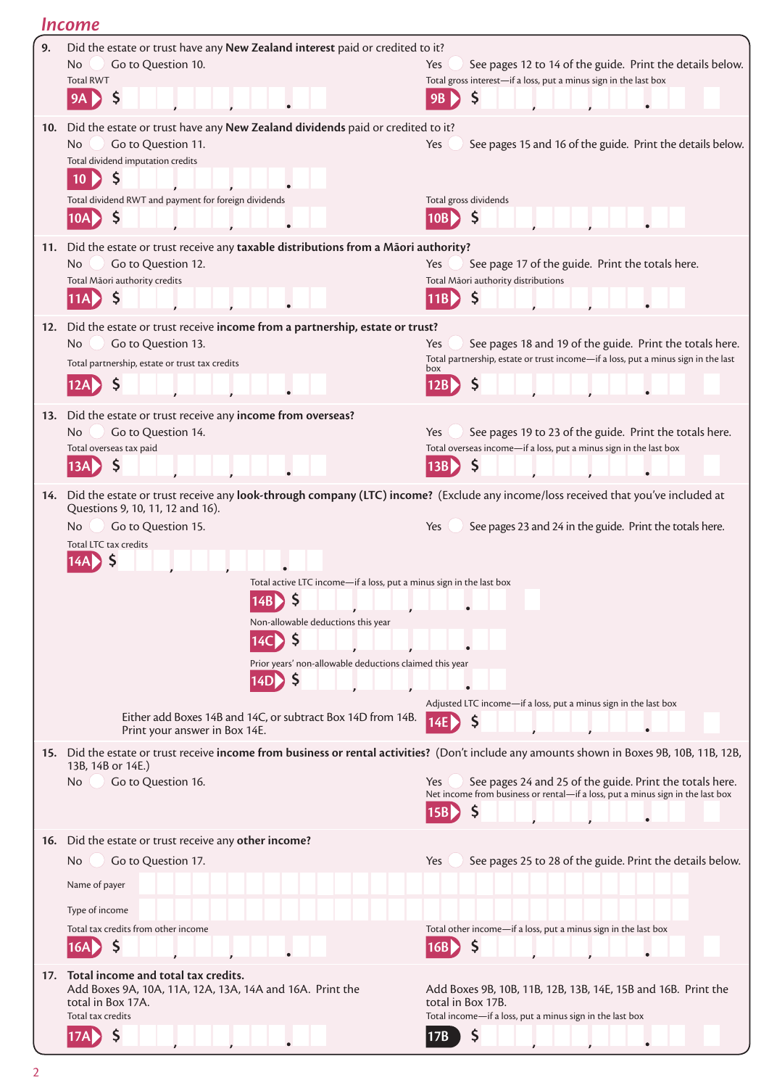|     | Income                                                                                                                                                                                                                                                                                                                                                                                                                            |                                                                                                                                                                |  |  |  |
|-----|-----------------------------------------------------------------------------------------------------------------------------------------------------------------------------------------------------------------------------------------------------------------------------------------------------------------------------------------------------------------------------------------------------------------------------------|----------------------------------------------------------------------------------------------------------------------------------------------------------------|--|--|--|
| 9.  | Did the estate or trust have any New Zealand interest paid or credited to it?<br>Go to Question 10.<br>No.<br><b>Total RWT</b><br>\$,<br>$9A \triangleright$                                                                                                                                                                                                                                                                      | See pages 12 to 14 of the guide. Print the details below.<br>Yes<br>Total gross interest-if a loss, put a minus sign in the last box<br>9B                     |  |  |  |
| 10. | Did the estate or trust have any New Zealand dividends paid or credited to it?<br>Go to Question 11.<br>No.<br>Total dividend imputation credits<br><b>S</b><br>10 <sub>b</sub><br>Total dividend RWT and payment for foreign dividends<br>$\zeta$<br>10A                                                                                                                                                                         | See pages 15 and 16 of the guide. Print the details below.<br>Yes<br>Total gross dividends<br>\$<br><b>10B</b>                                                 |  |  |  |
| 11. | Did the estate or trust receive any taxable distributions from a Māori authority?<br>Go to Question 12.<br>No<br>Total Māori authority credits<br>$\varsigma$<br>[11A <b>D</b>                                                                                                                                                                                                                                                    | See page 17 of the guide. Print the totals here.<br>Yes<br>Total Māori authority distributions<br>\$<br>11BD                                                   |  |  |  |
| 12. | Did the estate or trust receive income from a partnership, estate or trust?<br>Go to Question 13.<br>No.<br>Total partnership, estate or trust tax credits                                                                                                                                                                                                                                                                        | See pages 18 and 19 of the guide. Print the totals here.<br>Yes<br>Total partnership, estate or trust income-if a loss, put a minus sign in the last<br>box    |  |  |  |
| 13. | Did the estate or trust receive any income from overseas?<br>Go to Question 14.<br>No.<br>Total overseas tax paid<br>$\mathsf{S}$<br> 13A                                                                                                                                                                                                                                                                                         | See pages 19 to 23 of the guide. Print the totals here.<br>Yes<br>Total overseas income-if a loss, put a minus sign in the last box<br>\$<br>13B               |  |  |  |
| 14. | Did the estate or trust receive any look-through company (LTC) income? (Exclude any income/loss received that you've included at<br>Questions 9, 10, 11, 12 and 16).<br>Go to Question 15.<br>No<br>Total LTC tax credits<br>Total active LTC income-if a loss, put a minus sign in the last box<br>14B)<br>Non-allowable deductions this year<br><b>S</b><br>Prior years' non-allowable deductions claimed this year<br>14D<br>Ş | See pages 23 and 24 in the guide. Print the totals here.<br>Yes<br>Adjusted LTC income-if a loss, put a minus sign in the last box                             |  |  |  |
|     | Either add Boxes 14B and 14C, or subtract Box 14D from 14B.<br>Print your answer in Box 14E.<br>15. Did the estate or trust receive income from business or rental activities? (Don't include any amounts shown in Boxes 9B, 10B, 11B, 12B,                                                                                                                                                                                       | \$                                                                                                                                                             |  |  |  |
|     | 13B, 14B or 14E.)<br>Go to Question 16.<br>No                                                                                                                                                                                                                                                                                                                                                                                     | See pages 24 and 25 of the guide. Print the totals here.<br>Yes<br>Net income from business or rental-if a loss, put a minus sign in the last box<br>\$<br>15B |  |  |  |
|     | 16. Did the estate or trust receive any other income?<br>Go to Question 17.<br>No<br>Name of payer<br>Type of income<br>Total tax credits from other income<br>\$<br>16A                                                                                                                                                                                                                                                          | See pages 25 to 28 of the guide. Print the details below.<br>Yes<br>Total other income-if a loss, put a minus sign in the last box<br>\$<br>16B                |  |  |  |
| 17. | Total income and total tax credits.<br>Add Boxes 9A, 10A, 11A, 12A, 13A, 14A and 16A. Print the<br>total in Box 17A.<br>Total tax credits<br><sup>S</sup><br>17AD                                                                                                                                                                                                                                                                 | Add Boxes 9B, 10B, 11B, 12B, 13B, 14E, 15B and 16B. Print the<br>total in Box 17B.<br>Total income-if a loss, put a minus sign in the last box<br>S<br> 17B    |  |  |  |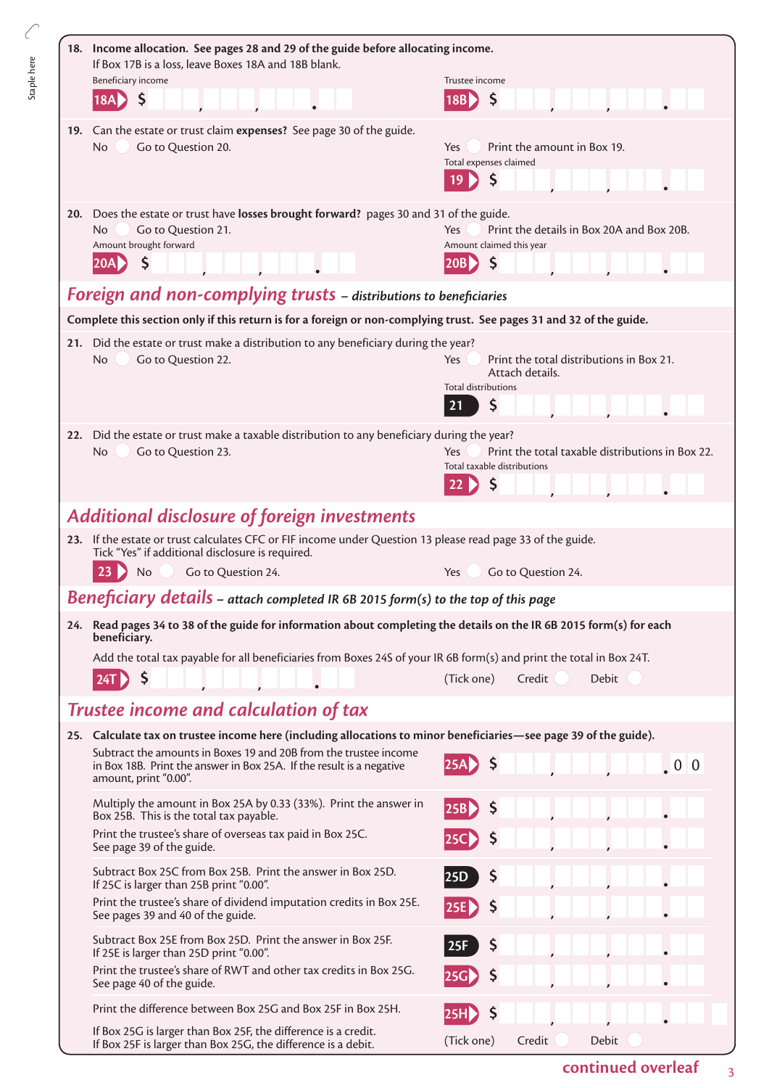| 18. Income allocation. See pages 28 and 29 of the guide before allocating income.<br>If Box 17B is a loss, leave Boxes 18A and 18B blank.<br>Beneficiary income<br>\$<br>18A                                                                                                              | Trustee income<br>\$<br> 18B                                                                                        |  |  |
|-------------------------------------------------------------------------------------------------------------------------------------------------------------------------------------------------------------------------------------------------------------------------------------------|---------------------------------------------------------------------------------------------------------------------|--|--|
| 19. Can the estate or trust claim expenses? See page 30 of the guide.<br>Go to Question 20.<br><b>No</b>                                                                                                                                                                                  | Print the amount in Box 19.<br>Yes<br>Total expenses claimed<br>\$<br>19                                            |  |  |
| 20. Does the estate or trust have losses brought forward? pages 30 and 31 of the guide.<br>Go to Question 21.<br>No.<br>Amount brought forward<br>Ś                                                                                                                                       | Print the details in Box 20A and Box 20B.<br>Yes<br>Amount claimed this year<br>$\mathsf{\dot{S}}$<br> 20B          |  |  |
| Foreign and non-complying trusts - distributions to beneficiaries                                                                                                                                                                                                                         |                                                                                                                     |  |  |
| Complete this section only if this return is for a foreign or non-complying trust. See pages 31 and 32 of the guide.                                                                                                                                                                      |                                                                                                                     |  |  |
| 21. Did the estate or trust make a distribution to any beneficiary during the year?<br>Go to Question 22.<br>No                                                                                                                                                                           | Print the total distributions in Box 21.<br><b>Yes</b><br>Attach details.<br><b>Total distributions</b><br>\$<br>21 |  |  |
| Did the estate or trust make a taxable distribution to any beneficiary during the year?<br>22.<br>No<br>Go to Question 23.                                                                                                                                                                | Print the total taxable distributions in Box 22.<br>Yes<br>Total taxable distributions<br>\$                        |  |  |
| <b>Additional disclosure of foreign investments</b>                                                                                                                                                                                                                                       |                                                                                                                     |  |  |
| 23. If the estate or trust calculates CFC or FIF income under Question 13 please read page 33 of the guide.<br>Tick "Yes" if additional disclosure is required.                                                                                                                           |                                                                                                                     |  |  |
| 23<br>Go to Question 24.<br><b>No</b>                                                                                                                                                                                                                                                     | Go to Question 24.<br><b>Yes</b>                                                                                    |  |  |
| <b>Beneficiary details</b> - attach completed IR 6B 2015 form(s) to the top of this page                                                                                                                                                                                                  |                                                                                                                     |  |  |
| 24. Read pages 34 to 38 of the guide for information about completing the details on the IR 6B 2015 form(s) for each<br>beneficiary.<br>Add the total tax payable for all beneficiaries from Boxes 24S of your IR 6B form(s) and print the total in Box 24T.<br>$\varsigma$<br><b>24T</b> | (Tick one)<br>Credit<br><b>Debit</b>                                                                                |  |  |
| Trustee income and calculation of tax                                                                                                                                                                                                                                                     |                                                                                                                     |  |  |
| 25. Calculate tax on trustee income here (including allocations to minor beneficiaries—see page 39 of the guide).                                                                                                                                                                         |                                                                                                                     |  |  |
| Subtract the amounts in Boxes 19 and 20B from the trustee income<br>in Box 18B. Print the answer in Box 25A. If the result is a negative<br>amount, print "0.00".                                                                                                                         | $\zeta$<br>25A<br>$\ 0\ 0$                                                                                          |  |  |
| Multiply the amount in Box 25A by 0.33 (33%). Print the answer in<br>Box 25B. This is the total tax payable.                                                                                                                                                                              | \$,<br> 25B                                                                                                         |  |  |
| Print the trustee's share of overseas tax paid in Box 25C.<br>See page 39 of the guide.                                                                                                                                                                                                   | \$,                                                                                                                 |  |  |
| Subtract Box 25C from Box 25B. Print the answer in Box 25D.<br>If 25C is larger than 25B print "0.00".                                                                                                                                                                                    | $\varsigma$<br>25D                                                                                                  |  |  |
| Print the trustee's share of dividend imputation credits in Box 25E.<br>See pages 39 and 40 of the guide.                                                                                                                                                                                 | $\varsigma$<br>25E)                                                                                                 |  |  |
| Subtract Box 25E from Box 25D. Print the answer in Box 25F.<br>If 25E is larger than 25D print "0.00".                                                                                                                                                                                    | $\varsigma$<br>25F                                                                                                  |  |  |
| Print the trustee's share of RWT and other tax credits in Box 25G.<br>See page 40 of the guide.                                                                                                                                                                                           | \$,                                                                                                                 |  |  |
| Print the difference between Box 25G and Box 25F in Box 25H.                                                                                                                                                                                                                              |                                                                                                                     |  |  |
| If Box 25G is larger than Box 25F, the difference is a credit.<br>If Box 25F is larger than Box 25G, the difference is a debit.                                                                                                                                                           | Debit<br>(Tick one)<br>Credit                                                                                       |  |  |